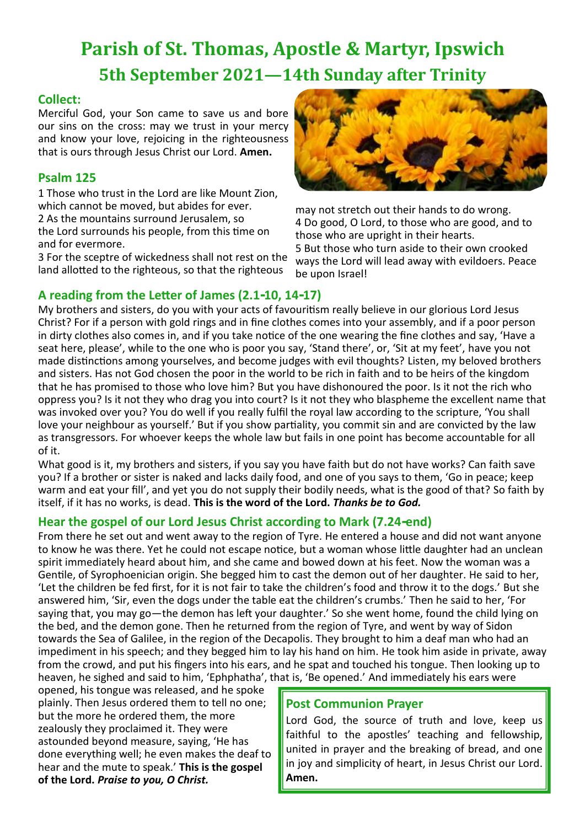# **Parish of St. Thomas, Apostle & Martyr, Ipswich 5th September 2021—14th Sunday after Trinity**

#### **Collect:**

Merciful God, your Son came to save us and bore our sins on the cross: may we trust in your mercy and know your love, rejoicing in the righteousness that is ours through Jesus Christ our Lord. **Amen.**

## **Psalm 125**

1 Those who trust in the Lord are like Mount Zion, which cannot be moved, but abides for ever. 2 As the mountains surround Jerusalem, so the Lord surrounds his people, from this time on and for evermore.

3 For the sceptre of wickedness shall not rest on the land allotted to the righteous, so that the righteous



may not stretch out their hands to do wrong. 4 Do good, O Lord, to those who are good, and to those who are upright in their hearts.

5 But those who turn aside to their own crooked ways the Lord will lead away with evildoers. Peace be upon Israel!

## **A reading from the Letter of James (2.1-10, 14-17)**

My brothers and sisters, do you with your acts of favouritism really believe in our glorious Lord Jesus Christ? For if a person with gold rings and in fine clothes comes into your assembly, and if a poor person in dirty clothes also comes in, and if you take notice of the one wearing the fine clothes and say, 'Have a seat here, please', while to the one who is poor you say, 'Stand there', or, 'Sit at my feet', have you not made distinctions among yourselves, and become judges with evil thoughts? Listen, my beloved brothers and sisters. Has not God chosen the poor in the world to be rich in faith and to be heirs of the kingdom that he has promised to those who love him? But you have dishonoured the poor. Is it not the rich who oppress you? Is it not they who drag you into court? Is it not they who blaspheme the excellent name that was invoked over you? You do well if you really fulfil the royal law according to the scripture, 'You shall love your neighbour as yourself.' But if you show partiality, you commit sin and are convicted by the law as transgressors. For whoever keeps the whole law but fails in one point has become accountable for all of it.

What good is it, my brothers and sisters, if you say you have faith but do not have works? Can faith save you? If a brother or sister is naked and lacks daily food, and one of you says to them, 'Go in peace; keep warm and eat your fill', and yet you do not supply their bodily needs, what is the good of that? So faith by itself, if it has no works, is dead. **This is the word of the Lord.** *Thanks be to God.*

# **Hear the gospel of our Lord Jesus Christ according to Mark (7.24-end)**

From there he set out and went away to the region of Tyre. He entered a house and did not want anyone to know he was there. Yet he could not escape notice, but a woman whose little daughter had an unclean spirit immediately heard about him, and she came and bowed down at his feet. Now the woman was a Gentile, of Syrophoenician origin. She begged him to cast the demon out of her daughter. He said to her, 'Let the children be fed first, for it is not fair to take the children's food and throw it to the dogs.' But she answered him, 'Sir, even the dogs under the table eat the children's crumbs.' Then he said to her, 'For saying that, you may go—the demon has left your daughter.' So she went home, found the child lying on the bed, and the demon gone. Then he returned from the region of Tyre, and went by way of Sidon towards the Sea of Galilee, in the region of the Decapolis. They brought to him a deaf man who had an impediment in his speech; and they begged him to lay his hand on him. He took him aside in private, away from the crowd, and put his fingers into his ears, and he spat and touched his tongue. Then looking up to heaven, he sighed and said to him, 'Ephphatha', that is, 'Be opened.' And immediately his ears were

opened, his tongue was released, and he spoke plainly. Then Jesus ordered them to tell no one; but the more he ordered them, the more zealously they proclaimed it. They were astounded beyond measure, saying, 'He has done everything well; he even makes the deaf to hear and the mute to speak.' **This is the gospel of the Lord.** *Praise to you, O Christ.*

#### **Post Communion Prayer**

Lord God, the source of truth and love, keep us faithful to the apostles' teaching and fellowship, united in prayer and the breaking of bread, and one in joy and simplicity of heart, in Jesus Christ our Lord. **Amen.**